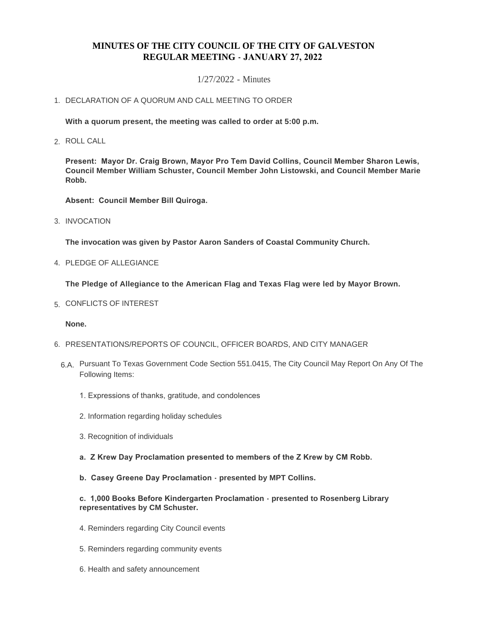# **MINUTES OF THE CITY COUNCIL OF THE CITY OF GALVESTON REGULAR MEETING - JANUARY 27, 2022**

## 1/27/2022 - Minutes

# 1. DECLARATION OF A QUORUM AND CALL MEETING TO ORDER

**With a quorum present, the meeting was called to order at 5:00 p.m.**

ROLL CALL 2.

**Present: Mayor Dr. Craig Brown, Mayor Pro Tem David Collins, Council Member Sharon Lewis, Council Member William Schuster, Council Member John Listowski, and Council Member Marie Robb.**

**Absent: Council Member Bill Quiroga.**

3. INVOCATION

**The invocation was given by Pastor Aaron Sanders of Coastal Community Church.**

4. PLEDGE OF ALLEGIANCE

**The Pledge of Allegiance to the American Flag and Texas Flag were led by Mayor Brown.**

5. CONFLICTS OF INTEREST

**None.**

- 6. PRESENTATIONS/REPORTS OF COUNCIL, OFFICER BOARDS, AND CITY MANAGER
	- 6.A. Pursuant To Texas Government Code Section 551.0415, The City Council May Report On Any Of The Following Items:
		- 1. Expressions of thanks, gratitude, and condolences
		- 2. Information regarding holiday schedules
		- 3. Recognition of individuals
		- **a. Z Krew Day Proclamation presented to members of the Z Krew by CM Robb.**
		- **b. Casey Greene Day Proclamation presented by MPT Collins.**

#### **c. 1,000 Books Before Kindergarten Proclamation - presented to Rosenberg Library representatives by CM Schuster.**

- 4. Reminders regarding City Council events
- 5. Reminders regarding community events
- 6. Health and safety announcement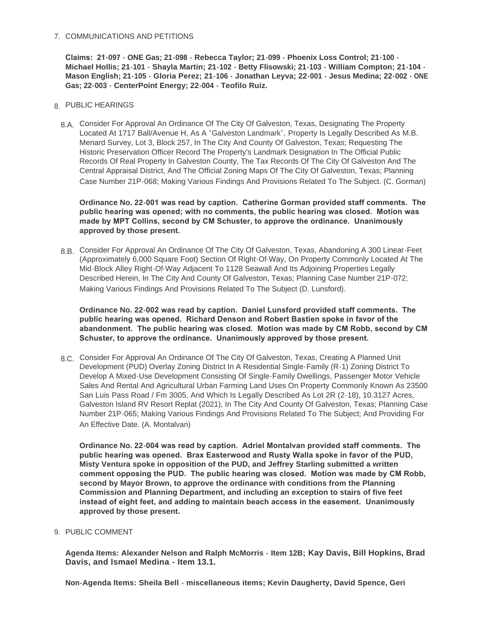## 7. COMMUNICATIONS AND PETITIONS

**Claims: 21-097 - ONE Gas; 21-098 - Rebecca Taylor; 21-099 - Phoenix Loss Control; 21-100 - Michael Hollis; 21-101 - Shayla Martin; 21-102 - Betty Flisowski; 21-103 - William Compton; 21-104 - Mason English; 21-105 - Gloria Perez; 21-106 - Jonathan Leyva; 22-001 - Jesus Medina; 22-002 - ONE Gas; 22-003 - CenterPoint Energy; 22-004 - Teofilo Ruiz.**

- PUBLIC HEARINGS 8.
- Consider For Approval An Ordinance Of The City Of Galveston, Texas, Designating The Property 8.A. Located At 1717 Ball/Avenue H, As A "Galveston Landmark", Property Is Legally Described As M.B. Menard Survey, Lot 3, Block 257, In The City And County Of Galveston, Texas; Requesting The Historic Preservation Officer Record The Property's Landmark Designation In The Official Public Records Of Real Property In Galveston County, The Tax Records Of The City Of Galveston And The Central Appraisal District, And The Official Zoning Maps Of The City Of Galveston, Texas; Planning Case Number 21P-068; Making Various Findings And Provisions Related To The Subject. (C. Gorman)

**Ordinance No. 22-001 was read by caption. Catherine Gorman provided staff comments. The public hearing was opened; with no comments, the public hearing was closed. Motion was made by MPT Collins, second by CM Schuster, to approve the ordinance. Unanimously approved by those present.**

Consider For Approval An Ordinance Of The City Of Galveston, Texas, Abandoning A 300 Linear-Feet 8.B. (Approximately 6,000 Square Foot) Section Of Right-Of-Way, On Property Commonly Located At The Mid-Block Alley Right-Of-Way Adjacent To 1128 Seawall And Its Adjoining Properties Legally Described Herein, In The City And County Of Galveston, Texas; Planning Case Number 21P-072; Making Various Findings And Provisions Related To The Subject (D. Lunsford).

**Ordinance No. 22-002 was read by caption. Daniel Lunsford provided staff comments. The public hearing was opened. Richard Denson and Robert Bastien spoke in favor of the abandonment. The public hearing was closed. Motion was made by CM Robb, second by CM Schuster, to approve the ordinance. Unanimously approved by those present.**

8.C. Consider For Approval An Ordinance Of The City Of Galveston, Texas, Creating A Planned Unit Development (PUD) Overlay Zoning District In A Residential Single-Family (R-1) Zoning District To Develop A Mixed-Use Development Consisting Of Single-Family Dwellings, Passenger Motor Vehicle Sales And Rental And Agricultural Urban Farming Land Uses On Property Commonly Known As 23500 San Luis Pass Road / Fm 3005, And Which Is Legally Described As Lot 2R (2-18), 10.3127 Acres, Galveston Island RV Resort Replat (2021), In The City And County Of Galveston, Texas; Planning Case Number 21P-065; Making Various Findings And Provisions Related To The Subject; And Providing For An Effective Date. (A. Montalvan)

**Ordinance No. 22-004 was read by caption. Adriel Montalvan provided staff comments. The public hearing was opened. Brax Easterwood and Rusty Walla spoke in favor of the PUD, Misty Ventura spoke in opposition of the PUD, and Jeffrey Starling submitted a written comment opposing the PUD. The public hearing was closed. Motion was made by CM Robb, second by Mayor Brown, to approve the ordinance with conditions from the Planning Commission and Planning Department, and including an exception to stairs of five feet instead of eight feet, and adding to maintain beach access in the easement. Unanimously approved by those present.**

9. PUBLIC COMMENT

**Agenda Items: Alexander Nelson and Ralph McMorris - Item 12B; Kay Davis, Bill Hopkins, Brad Davis, and Ismael Medina - Item 13.1.**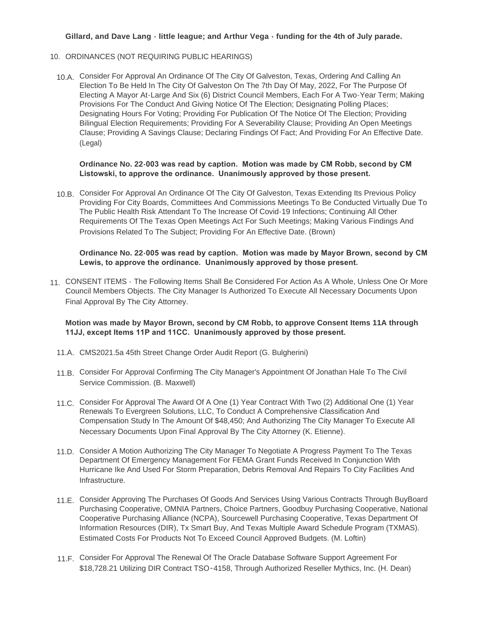## **Gillard, and Dave Lang - little league; and Arthur Vega - funding for the 4th of July parade.**

- 10. ORDINANCES (NOT REQUIRING PUBLIC HEARINGS)
	- 10.A. Consider For Approval An Ordinance Of The City Of Galveston, Texas, Ordering And Calling An Election To Be Held In The City Of Galveston On The 7th Day Of May, 2022, For The Purpose Of Electing A Mayor At-Large And Six (6) District Council Members, Each For A Two-Year Term; Making Provisions For The Conduct And Giving Notice Of The Election; Designating Polling Places; Designating Hours For Voting; Providing For Publication Of The Notice Of The Election; Providing Bilingual Election Requirements; Providing For A Severability Clause; Providing An Open Meetings Clause; Providing A Savings Clause; Declaring Findings Of Fact; And Providing For An Effective Date. (Legal)

#### **Ordinance No. 22-003 was read by caption. Motion was made by CM Robb, second by CM Listowski, to approve the ordinance. Unanimously approved by those present.**

10.B. Consider For Approval An Ordinance Of The City Of Galveston, Texas Extending Its Previous Policy Providing For City Boards, Committees And Commissions Meetings To Be Conducted Virtually Due To The Public Health Risk Attendant To The Increase Of Covid-19 Infections; Continuing All Other Requirements Of The Texas Open Meetings Act For Such Meetings; Making Various Findings And Provisions Related To The Subject; Providing For An Effective Date. (Brown)

## **Ordinance No. 22-005 was read by caption. Motion was made by Mayor Brown, second by CM Lewis, to approve the ordinance. Unanimously approved by those present.**

11. CONSENT ITEMS - The Following Items Shall Be Considered For Action As A Whole, Unless One Or More Council Members Objects. The City Manager Is Authorized To Execute All Necessary Documents Upon Final Approval By The City Attorney.

## **Motion was made by Mayor Brown, second by CM Robb, to approve Consent Items 11A through 11JJ, except Items 11P and 11CC. Unanimously approved by those present.**

- CMS2021.5a 45th Street Change Order Audit Report (G. Bulgherini) 11.A.
- Consider For Approval Confirming The City Manager's Appointment Of Jonathan Hale To The Civil 11.B. Service Commission. (B. Maxwell)
- 11.C. Consider For Approval The Award Of A One (1) Year Contract With Two (2) Additional One (1) Year Renewals To Evergreen Solutions, LLC, To Conduct A Comprehensive Classification And Compensation Study In The Amount Of \$48,450; And Authorizing The City Manager To Execute All Necessary Documents Upon Final Approval By The City Attorney (K. Etienne).
- Consider A Motion Authorizing The City Manager To Negotiate A Progress Payment To The Texas 11.D. Department Of Emergency Management For FEMA Grant Funds Received In Conjunction With Hurricane Ike And Used For Storm Preparation, Debris Removal And Repairs To City Facilities And Infrastructure.
- 11.E. Consider Approving The Purchases Of Goods And Services Using Various Contracts Through BuyBoard Purchasing Cooperative, OMNIA Partners, Choice Partners, Goodbuy Purchasing Cooperative, National Cooperative Purchasing Alliance (NCPA), Sourcewell Purchasing Cooperative, Texas Department Of Information Resources (DIR), Tx Smart Buy, And Texas Multiple Award Schedule Program (TXMAS). Estimated Costs For Products Not To Exceed Council Approved Budgets. (M. Loftin)
- 11.F. Consider For Approval The Renewal Of The Oracle Database Software Support Agreement For \$18,728.21 Utilizing DIR Contract TSO-4158, Through Authorized Reseller Mythics, Inc. (H. Dean)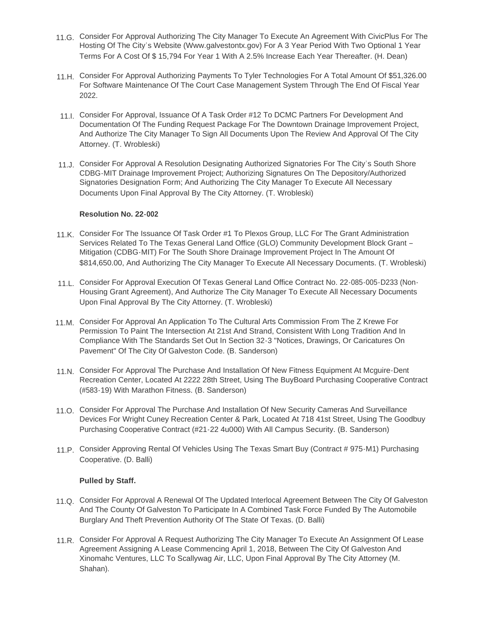- 11.G. Consider For Approval Authorizing The City Manager To Execute An Agreement With CivicPlus For The Hosting Of The City's Website (Www.galvestontx.gov) For A 3 Year Period With Two Optional 1 Year Terms For A Cost Of \$ 15,794 For Year 1 With A 2.5% Increase Each Year Thereafter. (H. Dean)
- Consider For Approval Authorizing Payments To Tyler Technologies For A Total Amount Of \$51,326.00 11.H. For Software Maintenance Of The Court Case Management System Through The End Of Fiscal Year 2022.
- 11.I. Consider For Approval, Issuance Of A Task Order #12 To DCMC Partners For Development And Documentation Of The Funding Request Package For The Downtown Drainage Improvement Project, And Authorize The City Manager To Sign All Documents Upon The Review And Approval Of The City Attorney. (T. Wrobleski)
- 11.J. Consider For Approval A Resolution Designating Authorized Signatories For The City's South Shore CDBG-MIT Drainage Improvement Project; Authorizing Signatures On The Depository/Authorized Signatories Designation Form; And Authorizing The City Manager To Execute All Necessary Documents Upon Final Approval By The City Attorney. (T. Wrobleski)

#### **Resolution No. 22-002**

- 11.K. Consider For The Issuance Of Task Order #1 To Plexos Group, LLC For The Grant Administration Services Related To The Texas General Land Office (GLO) Community Development Block Grant – Mitigation (CDBG-MIT) For The South Shore Drainage Improvement Project In The Amount Of \$814,650.00, And Authorizing The City Manager To Execute All Necessary Documents. (T. Wrobleski)
- Consider For Approval Execution Of Texas General Land Office Contract No. 22-085-005-D233 (Non-11.L. Housing Grant Agreement), And Authorize The City Manager To Execute All Necessary Documents Upon Final Approval By The City Attorney. (T. Wrobleski)
- 11.M. Consider For Approval An Application To The Cultural Arts Commission From The Z Krewe For Permission To Paint The Intersection At 21st And Strand, Consistent With Long Tradition And In Compliance With The Standards Set Out In Section 32-3 "Notices, Drawings, Or Caricatures On Pavement" Of The City Of Galveston Code. (B. Sanderson)
- 11.N. Consider For Approval The Purchase And Installation Of New Fitness Equipment At Mcguire-Dent Recreation Center, Located At 2222 28th Street, Using The BuyBoard Purchasing Cooperative Contract (#583-19) With Marathon Fitness. (B. Sanderson)
- 11.O. Consider For Approval The Purchase And Installation Of New Security Cameras And Surveillance Devices For Wright Cuney Recreation Center & Park, Located At 718 41st Street, Using The Goodbuy Purchasing Cooperative Contract (#21-22 4u000) With All Campus Security. (B. Sanderson)
- 11.P. Consider Approving Rental Of Vehicles Using The Texas Smart Buy (Contract # 975-M1) Purchasing Cooperative. (D. Balli)

## **Pulled by Staff.**

- 11.Q. Consider For Approval A Renewal Of The Updated Interlocal Agreement Between The City Of Galveston And The County Of Galveston To Participate In A Combined Task Force Funded By The Automobile Burglary And Theft Prevention Authority Of The State Of Texas. (D. Balli)
- Consider For Approval A Request Authorizing The City Manager To Execute An Assignment Of Lease 11.R. Agreement Assigning A Lease Commencing April 1, 2018, Between The City Of Galveston And Xinomahc Ventures, LLC To Scallywag Air, LLC, Upon Final Approval By The City Attorney (M. Shahan).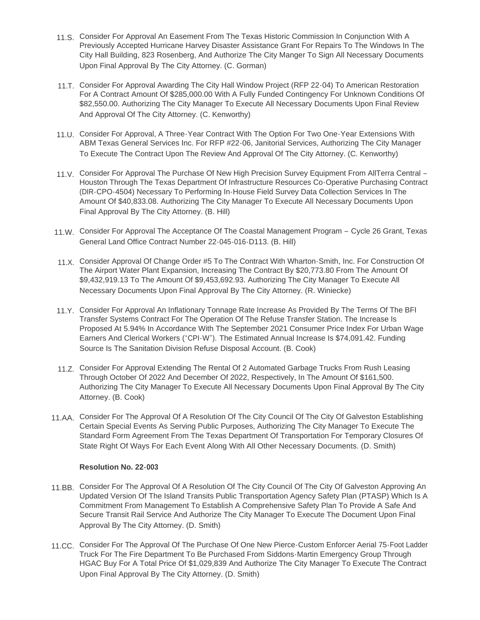- 11.S. Consider For Approval An Easement From The Texas Historic Commission In Conjunction With A Previously Accepted Hurricane Harvey Disaster Assistance Grant For Repairs To The Windows In The City Hall Building, 823 Rosenberg, And Authorize The City Manger To Sign All Necessary Documents Upon Final Approval By The City Attorney. (C. Gorman)
- 11.T. Consider For Approval Awarding The City Hall Window Project (RFP 22-04) To American Restoration For A Contract Amount Of \$285,000.00 With A Fully Funded Contingency For Unknown Conditions Of \$82,550.00. Authorizing The City Manager To Execute All Necessary Documents Upon Final Review And Approval Of The City Attorney. (C. Kenworthy)
- 11.U. Consider For Approval, A Three-Year Contract With The Option For Two One-Year Extensions With ABM Texas General Services Inc. For RFP #22-06, Janitorial Services, Authorizing The City Manager To Execute The Contract Upon The Review And Approval Of The City Attorney. (C. Kenworthy)
- 11.V. Consider For Approval The Purchase Of New High Precision Survey Equipment From AllTerra Central -Houston Through The Texas Department Of Infrastructure Resources Co-Operative Purchasing Contract (DIR-CPO-4504) Necessary To Performing In-House Field Survey Data Collection Services In The Amount Of \$40,833.08. Authorizing The City Manager To Execute All Necessary Documents Upon Final Approval By The City Attorney. (B. Hill)
- Consider For Approval The Acceptance Of The Coastal Management Program Cycle 26 Grant, Texas 11.W. General Land Office Contract Number 22-045-016-D113. (B. Hill)
- 11.X. Consider Approval Of Change Order #5 To The Contract With Wharton-Smith, Inc. For Construction Of The Airport Water Plant Expansion, Increasing The Contract By \$20,773.80 From The Amount Of \$9,432,919.13 To The Amount Of \$9,453,692.93. Authorizing The City Manager To Execute All Necessary Documents Upon Final Approval By The City Attorney. (R. Winiecke)
- 11.Y. Consider For Approval An Inflationary Tonnage Rate Increase As Provided By The Terms Of The BFI Transfer Systems Contract For The Operation Of The Refuse Transfer Station. The Increase Is Proposed At 5.94% In Accordance With The September 2021 Consumer Price Index For Urban Wage Earners And Clerical Workers ("CPI-W"). The Estimated Annual Increase Is \$74,091.42. Funding Source Is The Sanitation Division Refuse Disposal Account. (B. Cook)
- Consider For Approval Extending The Rental Of 2 Automated Garbage Trucks From Rush Leasing 11.Z. Through October Of 2022 And December Of 2022, Respectively, In The Amount Of \$161,500. Authorizing The City Manager To Execute All Necessary Documents Upon Final Approval By The City Attorney. (B. Cook)
- 11.AA. Consider For The Approval Of A Resolution Of The City Council Of The City Of Galveston Establishing Certain Special Events As Serving Public Purposes, Authorizing The City Manager To Execute The Standard Form Agreement From The Texas Department Of Transportation For Temporary Closures Of State Right Of Ways For Each Event Along With All Other Necessary Documents. (D. Smith)

#### **Resolution No. 22-003**

- 11.BB. Consider For The Approval Of A Resolution Of The City Council Of The City Of Galveston Approving An Updated Version Of The Island Transits Public Transportation Agency Safety Plan (PTASP) Which Is A Commitment From Management To Establish A Comprehensive Safety Plan To Provide A Safe And Secure Transit Rail Service And Authorize The City Manager To Execute The Document Upon Final Approval By The City Attorney. (D. Smith)
- 11.CC. Consider For The Approval Of The Purchase Of One New Pierce-Custom Enforcer Aerial 75-Foot Ladder Truck For The Fire Department To Be Purchased From Siddons-Martin Emergency Group Through HGAC Buy For A Total Price Of \$1,029,839 And Authorize The City Manager To Execute The Contract Upon Final Approval By The City Attorney. (D. Smith)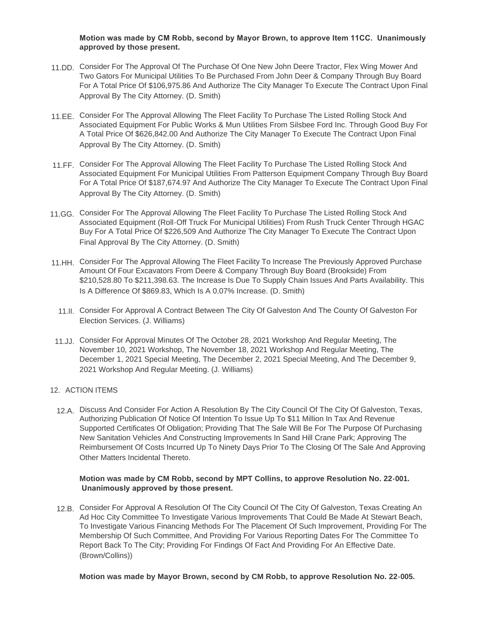### **Motion was made by CM Robb, second by Mayor Brown, to approve Item 11CC. Unanimously approved by those present.**

- 11.DD. Consider For The Approval Of The Purchase Of One New John Deere Tractor, Flex Wing Mower And Two Gators For Municipal Utilities To Be Purchased From John Deer & Company Through Buy Board For A Total Price Of \$106,975.86 And Authorize The City Manager To Execute The Contract Upon Final Approval By The City Attorney. (D. Smith)
- 11.EE. Consider For The Approval Allowing The Fleet Facility To Purchase The Listed Rolling Stock And Associated Equipment For Public Works & Mun Utilities From Silsbee Ford Inc. Through Good Buy For A Total Price Of \$626,842.00 And Authorize The City Manager To Execute The Contract Upon Final Approval By The City Attorney. (D. Smith)
- 11.FF. Consider For The Approval Allowing The Fleet Facility To Purchase The Listed Rolling Stock And Associated Equipment For Municipal Utilities From Patterson Equipment Company Through Buy Board For A Total Price Of \$187,674.97 And Authorize The City Manager To Execute The Contract Upon Final Approval By The City Attorney. (D. Smith)
- 11.GG. Consider For The Approval Allowing The Fleet Facility To Purchase The Listed Rolling Stock And Associated Equipment (Roll-Off Truck For Municipal Utilities) From Rush Truck Center Through HGAC Buy For A Total Price Of \$226,509 And Authorize The City Manager To Execute The Contract Upon Final Approval By The City Attorney. (D. Smith)
- 11.HH. Consider For The Approval Allowing The Fleet Facility To Increase The Previously Approved Purchase Amount Of Four Excavators From Deere & Company Through Buy Board (Brookside) From \$210,528.80 To \$211,398.63. The Increase Is Due To Supply Chain Issues And Parts Availability. This Is A Difference Of \$869.83, Which Is A 0.07% Increase. (D. Smith)
	- 11.II. Consider For Approval A Contract Between The City Of Galveston And The County Of Galveston For Election Services. (J. Williams)
- Consider For Approval Minutes Of The October 28, 2021 Workshop And Regular Meeting, The 11.JJ. November 10, 2021 Workshop, The November 18, 2021 Workshop And Regular Meeting, The December 1, 2021 Special Meeting, The December 2, 2021 Special Meeting, And The December 9, 2021 Workshop And Regular Meeting. (J. Williams)

#### 12. ACTION ITEMS

12.A. Discuss And Consider For Action A Resolution By The City Council Of The City Of Galveston, Texas, Authorizing Publication Of Notice Of Intention To Issue Up To \$11 Million In Tax And Revenue Supported Certificates Of Obligation; Providing That The Sale Will Be For The Purpose Of Purchasing New Sanitation Vehicles And Constructing Improvements In Sand Hill Crane Park; Approving The Reimbursement Of Costs Incurred Up To Ninety Days Prior To The Closing Of The Sale And Approving Other Matters Incidental Thereto.

## **Motion was made by CM Robb, second by MPT Collins, to approve Resolution No. 22-001. Unanimously approved by those present.**

12.B. Consider For Approval A Resolution Of The City Council Of The City Of Galveston, Texas Creating An Ad Hoc City Committee To Investigate Various Improvements That Could Be Made At Stewart Beach, To Investigate Various Financing Methods For The Placement Of Such Improvement, Providing For The Membership Of Such Committee, And Providing For Various Reporting Dates For The Committee To Report Back To The City; Providing For Findings Of Fact And Providing For An Effective Date. (Brown/Collins))

**Motion was made by Mayor Brown, second by CM Robb, to approve Resolution No. 22-005.**